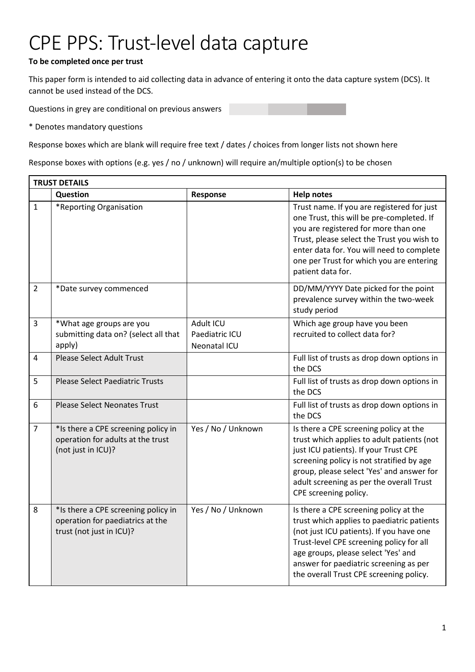## CPE PPS: Trust-level data capture

## **To be completed once per trust**

This paper form is intended to aid collecting data in advance of entering it onto the data capture system (DCS). It cannot be used instead of the DCS.

Questions in grey are conditional on previous answers

\* Denotes mandatory questions

Response boxes which are blank will require free text / dates / choices from longer lists not shown here

Response boxes with options (e.g. yes / no / unknown) will require an/multiple option(s) to be chosen

| <b>TRUST DETAILS</b> |                                                                                                     |                                             |                                                                                                                                                                                                                                                                                                          |  |
|----------------------|-----------------------------------------------------------------------------------------------------|---------------------------------------------|----------------------------------------------------------------------------------------------------------------------------------------------------------------------------------------------------------------------------------------------------------------------------------------------------------|--|
|                      | Question                                                                                            | Response                                    | <b>Help notes</b>                                                                                                                                                                                                                                                                                        |  |
| $\mathbf{1}$         | *Reporting Organisation                                                                             |                                             | Trust name. If you are registered for just<br>one Trust, this will be pre-completed. If<br>you are registered for more than one<br>Trust, please select the Trust you wish to<br>enter data for. You will need to complete<br>one per Trust for which you are entering<br>patient data for.              |  |
| $\overline{2}$       | *Date survey commenced                                                                              |                                             | DD/MM/YYYY Date picked for the point<br>prevalence survey within the two-week<br>study period                                                                                                                                                                                                            |  |
| $\overline{3}$       | *What age groups are you<br>submitting data on? (select all that<br>apply)                          | Adult ICU<br>Paediatric ICU<br>Neonatal ICU | Which age group have you been<br>recruited to collect data for?                                                                                                                                                                                                                                          |  |
| 4                    | <b>Please Select Adult Trust</b>                                                                    |                                             | Full list of trusts as drop down options in<br>the DCS                                                                                                                                                                                                                                                   |  |
| 5                    | <b>Please Select Paediatric Trusts</b>                                                              |                                             | Full list of trusts as drop down options in<br>the DCS                                                                                                                                                                                                                                                   |  |
| 6                    | <b>Please Select Neonates Trust</b>                                                                 |                                             | Full list of trusts as drop down options in<br>the DCS                                                                                                                                                                                                                                                   |  |
| $\overline{7}$       | *Is there a CPE screening policy in<br>operation for adults at the trust<br>(not just in ICU)?      | Yes / No / Unknown                          | Is there a CPE screening policy at the<br>trust which applies to adult patients (not<br>just ICU patients). If your Trust CPE<br>screening policy is not stratified by age<br>group, please select 'Yes' and answer for<br>adult screening as per the overall Trust<br>CPE screening policy.             |  |
| 8                    | *Is there a CPE screening policy in<br>operation for paediatrics at the<br>trust (not just in ICU)? | Yes / No / Unknown                          | Is there a CPE screening policy at the<br>trust which applies to paediatric patients<br>(not just ICU patients). If you have one<br>Trust-level CPE screening policy for all<br>age groups, please select 'Yes' and<br>answer for paediatric screening as per<br>the overall Trust CPE screening policy. |  |

٦